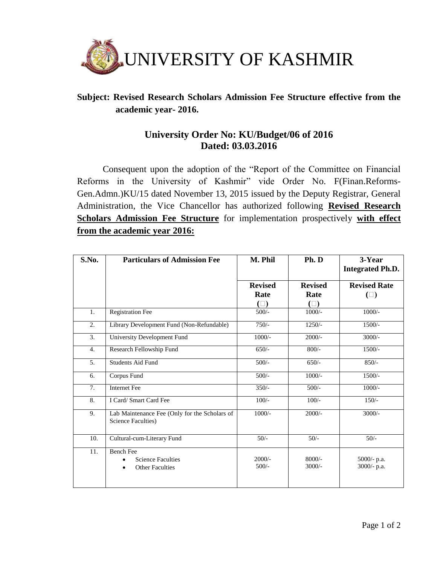

## **Subject: Revised Research Scholars Admission Fee Structure effective from the academic year- 2016.**

## **University Order No: KU/Budget/06 of 2016 Dated: 03.03.2016**

Consequent upon the adoption of the "Report of the Committee on Financial Reforms in the University of Kashmir" vide Order No. F(Finan.Reforms-Gen.Admn.)KU/15 dated November 13, 2015 issued by the Deputy Registrar, General Administration, the Vice Chancellor has authorized following **Revised Research Scholars Admission Fee Structure** for implementation prospectively **with effect from the academic year 2016:**

| S.No.            | <b>Particulars of Admission Fee</b>                                 | M. Phil        | Ph. D          | 3-Year<br><b>Integrated Ph.D.</b> |
|------------------|---------------------------------------------------------------------|----------------|----------------|-----------------------------------|
|                  |                                                                     |                |                |                                   |
|                  |                                                                     | <b>Revised</b> | <b>Revised</b> | <b>Revised Rate</b>               |
|                  |                                                                     | Rate           | Rate           | $(\Box)$                          |
|                  |                                                                     | $(\Box)$       | $(\Box)$       |                                   |
| 1.               | <b>Registration Fee</b>                                             | $500/-$        | $1000/-$       | $1000/-$                          |
| 2.               | Library Development Fund (Non-Refundable)                           | $750/-$        | $1250/-$       | $1500/-$                          |
| 3.               | <b>University Development Fund</b>                                  | $1000/-$       | $2000/-$       | $3000/-$                          |
| $\overline{4}$ . | Research Fellowship Fund                                            | $650/-$        | $800/-$        | $1500/-$                          |
| 5.               | <b>Students Aid Fund</b>                                            | $500/-$        | $650/-$        | $850/-$                           |
| 6.               | Corpus Fund                                                         | $500/-$        | $1000/-$       | $1500/-$                          |
| 7.               | <b>Internet Fee</b>                                                 | $350/-$        | $500/-$        | $1000/-$                          |
| 8.               | I Card/ Smart Card Fee                                              | $100/-$        | $100/-$        | $150/-$                           |
| 9.               | Lab Maintenance Fee (Only for the Scholars of<br>Science Faculties) | $1000/-$       | $2000/-$       | $3000/-$                          |
| 10.              | Cultural-cum-Literary Fund                                          | $50/-$         | $50/-$         | $50/-$                            |
| 11.              | <b>Bench Fee</b>                                                    |                |                |                                   |
|                  | <b>Science Faculties</b>                                            | $2000/-$       | $8000/-$       | 5000/- p.a.                       |
|                  | <b>Other Faculties</b>                                              | $500/-$        | $3000/-$       | 3000/- p.a.                       |
|                  |                                                                     |                |                |                                   |